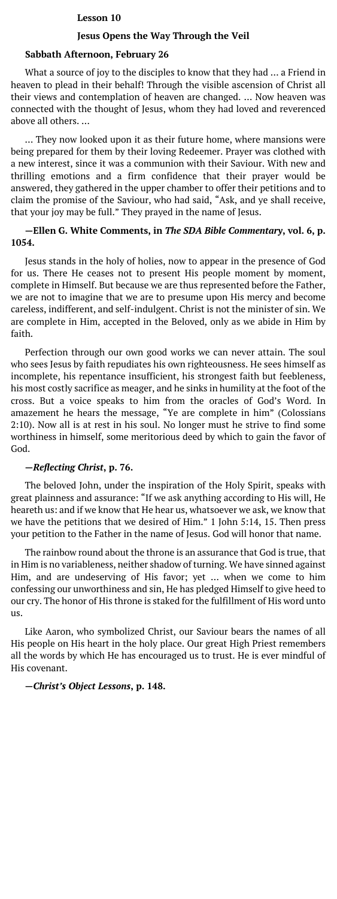# **Lesson 10**

#### **Jesus Opens the Way Through the Veil**

# **Sabbath Afternoon, February 26**

What a source of joy to the disciples to know that they had … a Friend in heaven to plead in their behalf! Through the visible ascension of Christ all their views and contemplation of heaven are changed. … Now heaven was connected with the thought of Jesus, whom they had loved and reverenced above all others. …

… They now looked upon it as their future home, where mansions were being prepared for them by their loving Redeemer. Prayer was clothed with a new interest, since it was a communion with their Saviour. With new and thrilling emotions and a firm confidence that their prayer would be answered, they gathered in the upper chamber to offer their petitions and to claim the promise of the Saviour, who had said, "Ask, and ye shall receive, that your joy may be full." They prayed in the name of Jesus.

# **—Ellen G. White Comments, in** *The SDA Bible Commentary***, vol. 6, p. 1054.**

Jesus stands in the holy of holies, now to appear in the presence of God for us. There He ceases not to present His people moment by moment, complete in Himself. But because we are thus represented before the Father, we are not to imagine that we are to presume upon His mercy and become careless, indifferent, and self-indulgent. Christ is not the minister of sin. We are complete in Him, accepted in the Beloved, only as we abide in Him by faith.

Perfection through our own good works we can never attain. The soul who sees Jesus by faith repudiates his own righteousness. He sees himself as incomplete, his repentance insufficient, his strongest faith but feebleness, his most costly sacrifice as meager, and he sinks in humility at the foot of the cross. But a voice speaks to him from the oracles of God's Word. In amazement he hears the message, "Ye are complete in him" (Colossians 2:10). Now all is at rest in his soul. No longer must he strive to find some worthiness in himself, some meritorious deed by which to gain the favor of God.

#### **—***Reflecting Christ***, p. 76.**

The beloved John, under the inspiration of the Holy Spirit, speaks with great plainness and assurance: "If we ask anything according to His will, He heareth us: and if we know that He hear us, whatsoever we ask, we know that we have the petitions that we desired of Him." 1 John 5:14, 15. Then press your petition to the Father in the name of Jesus. God will honor that name.

The rainbow round about the throne is an assurance that God is true, that in Him is no variableness, neither shadow of turning. We have sinned against Him, and are undeserving of His favor; yet … when we come to him confessing our unworthiness and sin, He has pledged Himself to give heed to our cry. The honor of His throne is staked for the fulfillment of His word unto us.

Like Aaron, who symbolized Christ, our Saviour bears the names of all His people on His heart in the holy place. Our great High Priest remembers all the words by which He has encouraged us to trust. He is ever mindful of His covenant.

#### **—***Christ's Object Lessons***, p. 148.**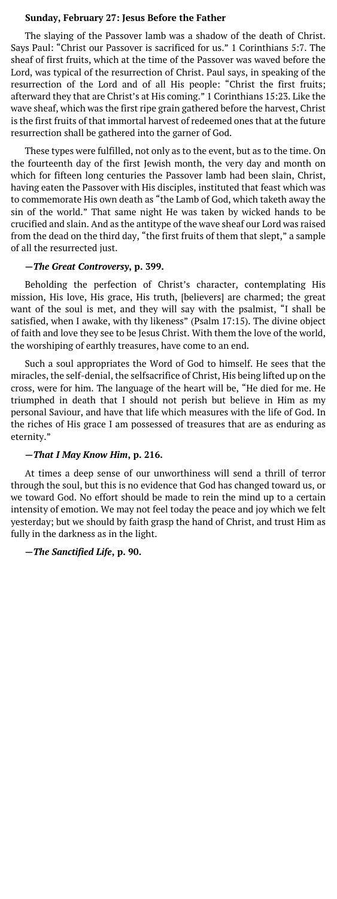## **Sunday, February 27: Jesus Before the Father**

The slaying of the Passover lamb was a shadow of the death of Christ. Says Paul: "Christ our Passover is sacrificed for us." 1 Corinthians 5:7. The sheaf of first fruits, which at the time of the Passover was waved before the Lord, was typical of the resurrection of Christ. Paul says, in speaking of the resurrection of the Lord and of all His people: "Christ the first fruits; afterward they that are Christ's at His coming." 1 Corinthians 15:23. Like the wave sheaf, which was the first ripe grain gathered before the harvest, Christ is the first fruits of that immortal harvest of redeemed ones that at the future resurrection shall be gathered into the garner of God.

These types were fulfilled, not only as to the event, but as to the time. On the fourteenth day of the first Jewish month, the very day and month on which for fifteen long centuries the Passover lamb had been slain, Christ, having eaten the Passover with His disciples, instituted that feast which was to commemorate His own death as "the Lamb of God, which taketh away the sin of the world." That same night He was taken by wicked hands to be crucified and slain. And as the antitype of the wave sheaf our Lord was raised from the dead on the third day, "the first fruits of them that slept," a sample of all the resurrected just.

# **—***The Great Controversy***, p. 399.**

Beholding the perfection of Christ's character, contemplating His mission, His love, His grace, His truth, [believers] are charmed; the great want of the soul is met, and they will say with the psalmist, "I shall be satisfied, when I awake, with thy likeness" (Psalm 17:15). The divine object of faith and love they see to be Jesus Christ. With them the love of the world, the worshiping of earthly treasures, have come to an end.

Such a soul appropriates the Word of God to himself. He sees that the miracles, the self-denial, the selfsacrifice of Christ, His being lifted up on the cross, were for him. The language of the heart will be, "He died for me. He triumphed in death that I should not perish but believe in Him as my personal Saviour, and have that life which measures with the life of God. In the riches of His grace I am possessed of treasures that are as enduring as eternity."

#### **—***That I May Know Him***, p. 216.**

At times a deep sense of our unworthiness will send a thrill of terror through the soul, but this is no evidence that God has changed toward us, or we toward God. No effort should be made to rein the mind up to a certain intensity of emotion. We may not feel today the peace and joy which we felt yesterday; but we should by faith grasp the hand of Christ, and trust Him as fully in the darkness as in the light.

### **—***The Sanctified Life***, p. 90.**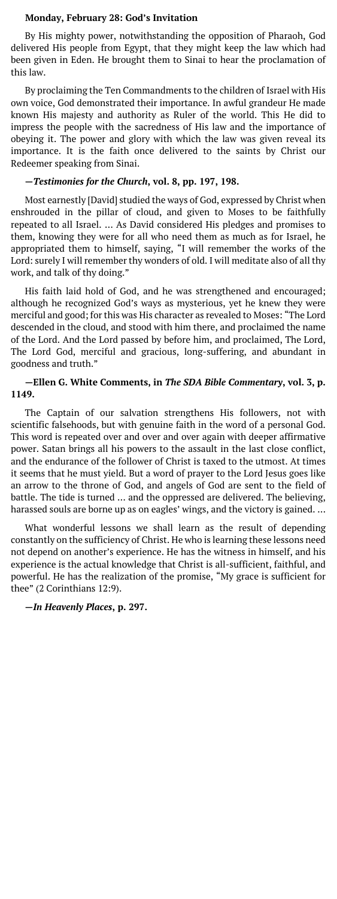#### **Monday, February 28: God's Invitation**

By His mighty power, notwithstanding the opposition of Pharaoh, God delivered His people from Egypt, that they might keep the law which had been given in Eden. He brought them to Sinai to hear the proclamation of this law.

By proclaiming the Ten Commandments to the children of Israel with His own voice, God demonstrated their importance. In awful grandeur He made known His majesty and authority as Ruler of the world. This He did to impress the people with the sacredness of His law and the importance of obeying it. The power and glory with which the law was given reveal its importance. It is the faith once delivered to the saints by Christ our Redeemer speaking from Sinai.

#### **—***Testimonies for the Church***, vol. 8, pp. 197, 198.**

Most earnestly [David] studied the ways of God, expressed by Christ when enshrouded in the pillar of cloud, and given to Moses to be faithfully repeated to all Israel. … As David considered His pledges and promises to them, knowing they were for all who need them as much as for Israel, he appropriated them to himself, saying, "I will remember the works of the Lord: surely I will remember thy wonders of old. I will meditate also of all thy work, and talk of thy doing."

His faith laid hold of God, and he was strengthened and encouraged; although he recognized God's ways as mysterious, yet he knew they were merciful and good; for this was His character as revealed to Moses: "The Lord descended in the cloud, and stood with him there, and proclaimed the name of the Lord. And the Lord passed by before him, and proclaimed, The Lord, The Lord God, merciful and gracious, long-suffering, and abundant in goodness and truth."

# **—Ellen G. White Comments, in** *The SDA Bible Commentary***, vol. 3, p. 1149.**

The Captain of our salvation strengthens His followers, not with scientific falsehoods, but with genuine faith in the word of a personal God. This word is repeated over and over and over again with deeper affirmative power. Satan brings all his powers to the assault in the last close conflict, and the endurance of the follower of Christ is taxed to the utmost. At times it seems that he must yield. But a word of prayer to the Lord Jesus goes like an arrow to the throne of God, and angels of God are sent to the field of battle. The tide is turned … and the oppressed are delivered. The believing, harassed souls are borne up as on eagles' wings, and the victory is gained. …

What wonderful lessons we shall learn as the result of depending constantly on the sufficiency of Christ. He who is learning these lessons need not depend on another's experience. He has the witness in himself, and his experience is the actual knowledge that Christ is all-sufficient, faithful, and powerful. He has the realization of the promise, "My grace is sufficient for thee" (2 Corinthians 12:9).

**—***In Heavenly Places***, p. 297.**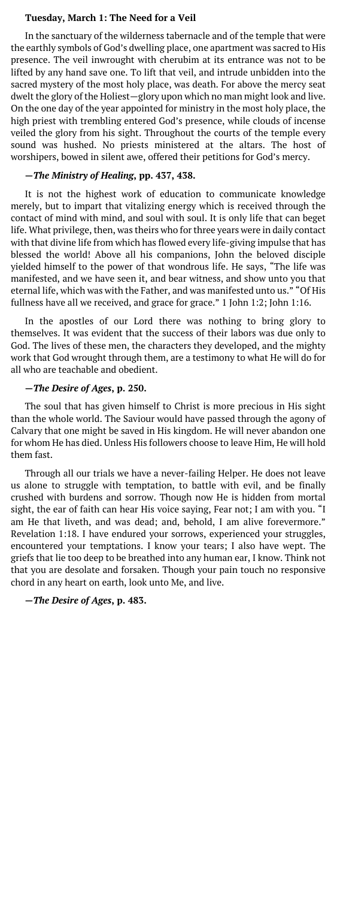### **Tuesday, March 1: The Need for a Veil**

In the sanctuary of the wilderness tabernacle and of the temple that were the earthly symbols of God's dwelling place, one apartment was sacred to His presence. The veil inwrought with cherubim at its entrance was not to be lifted by any hand save one. To lift that veil, and intrude unbidden into the sacred mystery of the most holy place, was death. For above the mercy seat dwelt the glory of the Holiest—glory upon which no man might look and live. On the one day of the year appointed for ministry in the most holy place, the high priest with trembling entered God's presence, while clouds of incense veiled the glory from his sight. Throughout the courts of the temple every sound was hushed. No priests ministered at the altars. The host of worshipers, bowed in silent awe, offered their petitions for God's mercy.

It is not the highest work of education to communicate knowledge merely, but to impart that vitalizing energy which is received through the contact of mind with mind, and soul with soul. It is only life that can beget life. What privilege, then, was theirs who for three years were in daily contact with that divine life from which has flowed every life-giving impulse that has blessed the world! Above all his companions, John the beloved disciple yielded himself to the power of that wondrous life. He says, "The life was manifested, and we have seen it, and bear witness, and show unto you that eternal life, which was with the Father, and was manifested unto us." "Of His fullness have all we received, and grace for grace." 1 John 1:2; John 1:16.

# **—***The Ministry of Healing***, pp. 437, 438.**

In the apostles of our Lord there was nothing to bring glory to themselves. It was evident that the success of their labors was due only to God. The lives of these men, the characters they developed, and the mighty work that God wrought through them, are a testimony to what He will do for all who are teachable and obedient.

# **—***The Desire of Ages***, p. 250.**

The soul that has given himself to Christ is more precious in His sight than the whole world. The Saviour would have passed through the agony of Calvary that one might be saved in His kingdom. He will never abandon one for whom He has died. Unless His followers choose to leave Him, He will hold them fast.

Through all our trials we have a never-failing Helper. He does not leave us alone to struggle with temptation, to battle with evil, and be finally crushed with burdens and sorrow. Though now He is hidden from mortal sight, the ear of faith can hear His voice saying, Fear not; I am with you. "I am He that liveth, and was dead; and, behold, I am alive forevermore." Revelation 1:18. I have endured your sorrows, experienced your struggles, encountered your temptations. I know your tears; I also have wept. The griefs that lie too deep to be breathed into any human ear, I know. Think not that you are desolate and forsaken. Though your pain touch no responsive chord in any heart on earth, look unto Me, and live.

**—***The Desire of Ages***, p. 483.**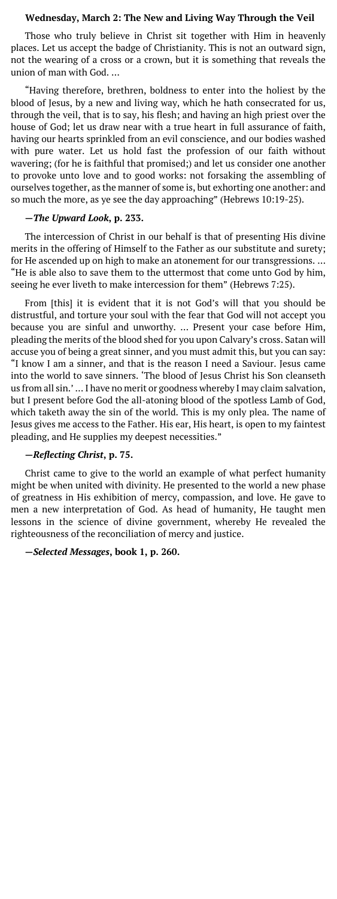#### **Wednesday, March 2: The New and Living Way Through the Veil**

Those who truly believe in Christ sit together with Him in heavenly places. Let us accept the badge of Christianity. This is not an outward sign, not the wearing of a cross or a crown, but it is something that reveals the union of man with God. …

"Having therefore, brethren, boldness to enter into the holiest by the blood of Jesus, by a new and living way, which he hath consecrated for us, through the veil, that is to say, his flesh; and having an high priest over the house of God; let us draw near with a true heart in full assurance of faith, having our hearts sprinkled from an evil conscience, and our bodies washed with pure water. Let us hold fast the profession of our faith without wavering; (for he is faithful that promised;) and let us consider one another to provoke unto love and to good works: not forsaking the assembling of ourselves together, as the manner of some is, but exhorting one another: and so much the more, as ye see the day approaching" (Hebrews 10:19-25).

#### **—***The Upward Look***, p. 233.**

The intercession of Christ in our behalf is that of presenting His divine merits in the offering of Himself to the Father as our substitute and surety; for He ascended up on high to make an atonement for our transgressions. … "He is able also to save them to the uttermost that come unto God by him, seeing he ever liveth to make intercession for them" (Hebrews 7:25).

From [this] it is evident that it is not God's will that you should be distrustful, and torture your soul with the fear that God will not accept you because you are sinful and unworthy. … Present your case before Him, pleading the merits of the blood shed for you upon Calvary's cross. Satan will accuse you of being a great sinner, and you must admit this, but you can say: "I know I am a sinner, and that is the reason I need a Saviour. Jesus came into the world to save sinners. 'The blood of Jesus Christ his Son cleanseth us from all sin.' … I have no merit or goodness whereby I may claim salvation, but I present before God the all-atoning blood of the spotless Lamb of God, which taketh away the sin of the world. This is my only plea. The name of Jesus gives me access to the Father. His ear, His heart, is open to my faintest pleading, and He supplies my deepest necessities."

# **—***Reflecting Christ***, p. 75.**

Christ came to give to the world an example of what perfect humanity might be when united with divinity. He presented to the world a new phase of greatness in His exhibition of mercy, compassion, and love. He gave to men a new interpretation of God. As head of humanity, He taught men lessons in the science of divine government, whereby He revealed the righteousness of the reconciliation of mercy and justice.

#### **—***Selected Messages***, book 1, p. 260.**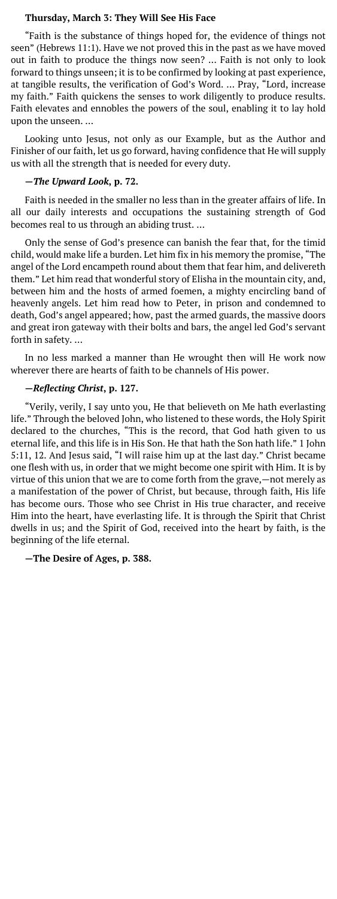### **Thursday, March 3: They Will See His Face**

"Faith is the substance of things hoped for, the evidence of things not seen" (Hebrews 11:1). Have we not proved this in the past as we have moved out in faith to produce the things now seen? … Faith is not only to look forward to things unseen; it is to be confirmed by looking at past experience, at tangible results, the verification of God's Word. … Pray, "Lord, increase my faith." Faith quickens the senses to work diligently to produce results. Faith elevates and ennobles the powers of the soul, enabling it to lay hold upon the unseen. …

Looking unto Jesus, not only as our Example, but as the Author and Finisher of our faith, let us go forward, having confidence that He will supply us with all the strength that is needed for every duty.

# **—***The Upward Look***, p. 72.**

Faith is needed in the smaller no less than in the greater affairs of life. In all our daily interests and occupations the sustaining strength of God becomes real to us through an abiding trust. …

Only the sense of God's presence can banish the fear that, for the timid child, would make life a burden. Let him fix in his memory the promise, "The angel of the Lord encampeth round about them that fear him, and delivereth them." Let him read that wonderful story of Elisha in the mountain city, and, between him and the hosts of armed foemen, a mighty encircling band of heavenly angels. Let him read how to Peter, in prison and condemned to death, God's angel appeared; how, past the armed guards, the massive doors and great iron gateway with their bolts and bars, the angel led God's servant forth in safety. …

In no less marked a manner than He wrought then will He work now wherever there are hearts of faith to be channels of His power.

# **—***Reflecting Christ***, p. 127.**

"Verily, verily, I say unto you, He that believeth on Me hath everlasting life." Through the beloved John, who listened to these words, the Holy Spirit declared to the churches, "This is the record, that God hath given to us eternal life, and this life is in His Son. He that hath the Son hath life." 1 John 5:11, 12. And Jesus said, "I will raise him up at the last day." Christ became one flesh with us, in order that we might become one spirit with Him. It is by virtue of this union that we are to come forth from the grave,—not merely as a manifestation of the power of Christ, but because, through faith, His life has become ours. Those who see Christ in His true character, and receive Him into the heart, have everlasting life. It is through the Spirit that Christ dwells in us; and the Spirit of God, received into the heart by faith, is the beginning of the life eternal.

**—The Desire of Ages, p. 388.**